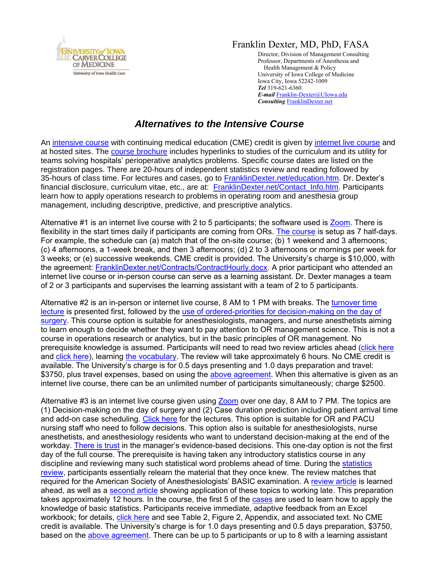

## Franklin Dexter, MD, PhD, FASA

Director, Division of Management Consulting Professor, Departments of Anesthesia and Health Management & Policy University of Iowa College of Medicine Iowa City, Iowa 52242-1009 *Tel* 319-621-6360 *E-mail* [Franklin-Dexter@UIowa.edu](mailto:Franklin-Dexter@UIowa.edu?subject=Course%20Alternatives) *Consulting* [FranklinDexter.net](https://franklindexter.net/)

## *Alternatives to the Intensive Course*

An [intensive course](https://www.franklindexter.net/PDF_Files/SurgicalServicesCourse.pdf) with continuing medical education (CME) credit is given by [internet live course](https://www.accme.org/faq/how-internet-live-course-defined) and at hosted sites. The [course brochure](https://www.franklindexter.net/PDF_Files/SurgicalServicesCourse.pdf) includes hyperlinks to studies of the curriculum and its utility for teams solving hospitals' perioperative analytics problems. Specific course dates are listed on the registration pages. There are 20-hours of independent statistics review and reading followed by 35-hours of class time. For lectures and cases, go to [FranklinDexter.net/education.htm.](https://www.franklindexter.net/education.htm) Dr. Dexter's financial disclosure, curriculum vitae, etc., are at: [FranklinDexter.net/Contact\\_Info.htm.](https://www.franklindexter.net/Contact_Info.htm) Participants learn how to apply operations research to problems in operating room and anesthesia group management, including descriptive, predictive, and prescriptive analytics.

Alternative #1 is an internet live course with 2 to 5 participants; the software used is [Zoom.](https://support.zoom.us/hc/en-us/categories/201146643-Meetings-Webinars) There is flexibility in the start times daily if participants are coming from ORs. [The course](https://www.franklindexter.net/PDF_Files/SurgicalServicesCourse.pdf) is setup as 7 half-days. For example, the schedule can (a) match that of the on-site course; (b) 1 weekend and 3 afternoons; (c) 4 afternoons, a 1-week break, and then 3 afternoons; (d) 2 to 3 afternoons or mornings per week for 3 weeks; or (e) successive weekends. CME credit is provided. The University's charge is \$10,000, with the agreement: [FranklinDexter.net/Contracts/ContractHourly.docx.](https://www.franklindexter.net/Contracts/ContractHourly.docx) A prior participant who attended an internet live course or in-person course can serve as a learning assistant. Dr. Dexter manages a team of 2 or 3 participants and supervises the learning assistant with a team of 2 to 5 participants.

Alternative #2 is an in-person or internet live course, 8 AM to 1 PM with breaks. The [turnover time](https://www.franklindexter.net/Lectures/TurnoverTime.pdf)  [lecture](https://www.franklindexter.net/Lectures/TurnoverTime.pdf) is presented first, followed by the [use of ordered-priorities for decision-making on the day of](https://www.franklindexter.net/Lectures/DayOfSurgery.pdf)  [surgery.](https://www.franklindexter.net/Lectures/DayOfSurgery.pdf) This course option is suitable for anesthesiologists, managers, and nurse anesthetists aiming to learn enough to decide whether they want to pay attention to OR management science. This is not a course in operations research or analytics, but in the basic principles of OR management. No prerequisite knowledge is assumed. Participants will need to read two review articles ahead [\(click here](http://anesthesiology.pubs.asahq.org/article.aspx?articleid=1942084) and [click here\)](http://www.anesthesia-analgesia.org/content/103/6/1499.full.pdf+HTML), learning [the vocabulary.](http://www.anesthesia-analgesia.org/content/117/6/1460.full.pdf+HTML) The review will take approximately 6 hours. No CME credit is available. The University's charge is for 0.5 days presenting and 1.0 days preparation and travel: \$3750, plus travel expenses, based on using the [above agreement.](http://www.franklindexter.net/Contracts/ContractHourly.docx) When this alternative is given as an internet live course, there can be an unlimited number of participants simultaneously; charge \$2500.

Alternative #3 is an internet live course given using [Zoom](https://support.zoom.us/hc/en-us/categories/201146643-Meetings-Webinars) over one day, 8 AM to 7 PM. The topics are (1) Decision-making on the day of surgery and (2) Case duration prediction including patient arrival time and add-on case scheduling. [Click here](http://www.franklindexter.net/Lectures/DayOfSurgery.pdf) for the lectures. This option is suitable for OR and PACU nursing staff who need to follow decisions. This option also is suitable for anesthesiologists, nurse anesthetists, and anesthesiology residents who want to understand decision-making at the end of the workday. [There is](https://www.ncbi.nlm.nih.gov/pubmed/30594680) trust in the manager's evidence-based decisions. This one-day option is not the first day of the full course. The prerequisite is having taken any introductory statistics course in any discipline and reviewing many such statistical word problems ahead of time. During the [statistics](http://www.franklindexter.net/Lectures/Statistics.pdf)  [review,](http://www.franklindexter.net/Lectures/Statistics.pdf) participants essentially relearn the material that they once knew. The review matches that required for the American Society of Anesthesiologists' BASIC examination. A [review article](http://anesthesiology.pubs.asahq.org/article.aspx?articleid=1942084) is learned ahead, as well as a [second article](http://www.anesthesia-analgesia.org/content/122/3/831.full.pdf+HTML) showing application of these topics to working late. This preparation takes approximately 12 hours. In the course, the first 5 of the [cases](http://www.franklindexter.net/PDF_Files/Cases.pdf) are used to learn how to apply the knowledge of basic statistics. Participants receive immediate, adaptive feedback from an Excel workbook; for details, [click here](http://www.tandfonline.com/doi/pdf/10.1080/10691898.2010.11889588) and see Table 2, Figure 2, Appendix, and associated text. No CME credit is available. The University's charge is for 1.0 days presenting and 0.5 days preparation, \$3750, based on the [above agreement.](http://www.franklindexter.net/Contracts/ContractHourly.docx) There can be up to 5 participants or up to 8 with a learning assistant